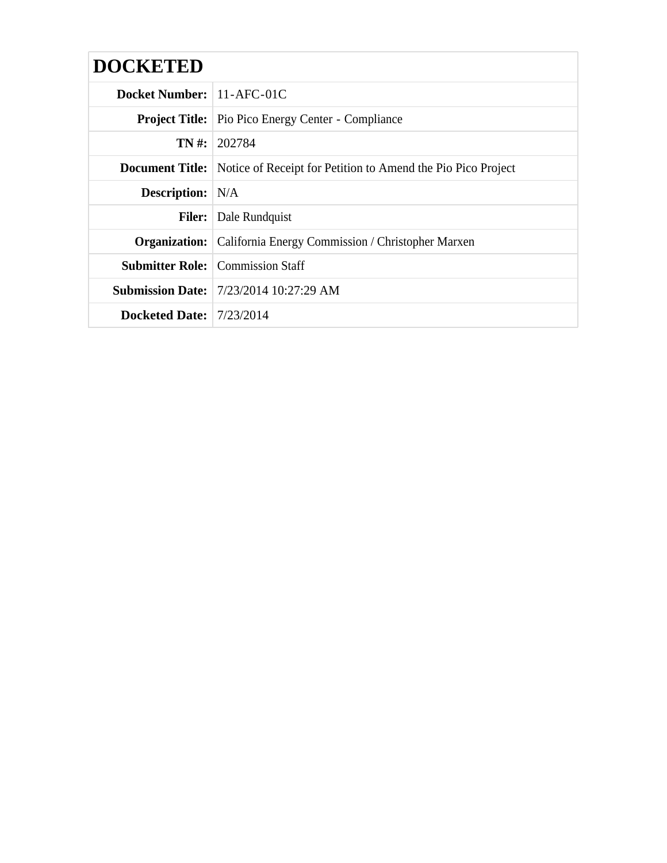| <b>DOCKETED</b>             |                                                                                     |
|-----------------------------|-------------------------------------------------------------------------------------|
| Docket Number:   11-AFC-01C |                                                                                     |
|                             | <b>Project Title:</b> Pio Pico Energy Center - Compliance                           |
|                             | <b>TN</b> #: 202784                                                                 |
|                             | <b>Document Title:</b> Notice of Receipt for Petition to Amend the Pio Pico Project |
| <b>Description:</b> N/A     |                                                                                     |
|                             | <b>Filer:</b> Dale Rundquist                                                        |
|                             | <b>Organization:</b> California Energy Commission / Christopher Marxen              |
|                             | <b>Submitter Role:</b> Commission Staff                                             |
|                             | <b>Submission Date:</b> 7/23/2014 10:27:29 AM                                       |
| Docketed Date: $7/23/2014$  |                                                                                     |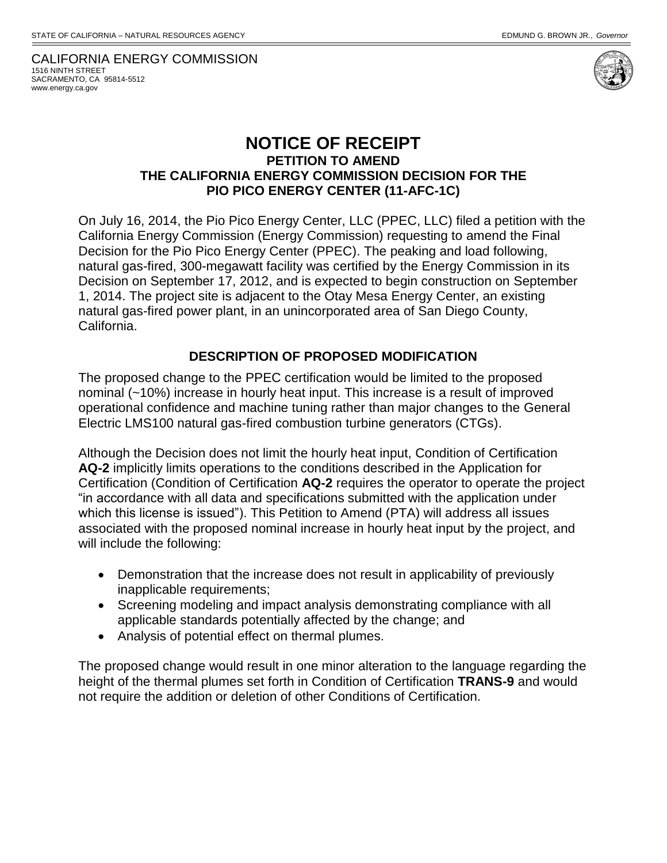CALIFORNIA ENERGY COMMISSION 1516 NINTH STREET SACRAMENTO, CA 95814-5512 www.energy.ca.gov



## **NOTICE OF RECEIPT PETITION TO AMEND THE CALIFORNIA ENERGY COMMISSION DECISION FOR THE PIO PICO ENERGY CENTER (11-AFC-1C)**

On July 16, 2014, the Pio Pico Energy Center, LLC (PPEC, LLC) filed a petition with the California Energy Commission (Energy Commission) requesting to amend the Final Decision for the Pio Pico Energy Center (PPEC). The peaking and load following, natural gas-fired, 300-megawatt facility was certified by the Energy Commission in its Decision on September 17, 2012, and is expected to begin construction on September 1, 2014. The project site is adjacent to the Otay Mesa Energy Center, an existing natural gas-fired power plant, in an unincorporated area of San Diego County, California.

## **DESCRIPTION OF PROPOSED MODIFICATION**

The proposed change to the PPEC certification would be limited to the proposed nominal (~10%) increase in hourly heat input. This increase is a result of improved operational confidence and machine tuning rather than major changes to the General Electric LMS100 natural gas-fired combustion turbine generators (CTGs).

Although the Decision does not limit the hourly heat input, Condition of Certification **AQ-2** implicitly limits operations to the conditions described in the Application for Certification (Condition of Certification **AQ-2** requires the operator to operate the project "in accordance with all data and specifications submitted with the application under which this license is issued"). This Petition to Amend (PTA) will address all issues associated with the proposed nominal increase in hourly heat input by the project, and will include the following:

- Demonstration that the increase does not result in applicability of previously inapplicable requirements;
- Screening modeling and impact analysis demonstrating compliance with all applicable standards potentially affected by the change; and
- Analysis of potential effect on thermal plumes.

The proposed change would result in one minor alteration to the language regarding the height of the thermal plumes set forth in Condition of Certification **TRANS-9** and would not require the addition or deletion of other Conditions of Certification.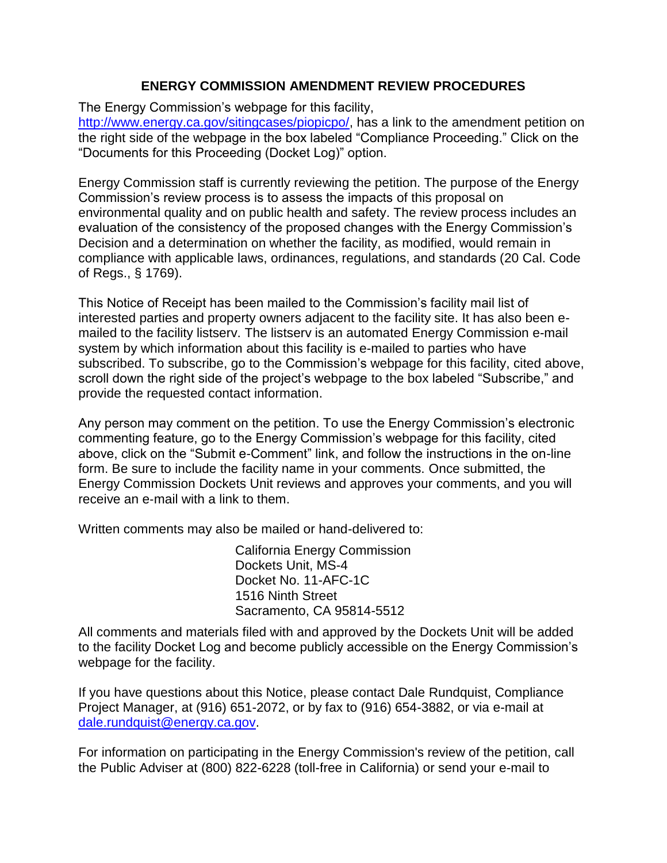## **ENERGY COMMISSION AMENDMENT REVIEW PROCEDURES**

The Energy Commission's webpage for this facility,

[http://www.energy.ca.gov/sitingcases/piopicpo/,](http://www.energy.ca.gov/sitingcases/piopicpo/) has a link to the amendment petition on the right side of the webpage in the box labeled "Compliance Proceeding." Click on the "Documents for this Proceeding (Docket Log)" option.

Energy Commission staff is currently reviewing the petition. The purpose of the Energy Commission's review process is to assess the impacts of this proposal on environmental quality and on public health and safety. The review process includes an evaluation of the consistency of the proposed changes with the Energy Commission's Decision and a determination on whether the facility, as modified, would remain in compliance with applicable laws, ordinances, regulations, and standards (20 Cal. Code of Regs., § 1769).

This Notice of Receipt has been mailed to the Commission's facility mail list of interested parties and property owners adjacent to the facility site. It has also been emailed to the facility listserv. The listserv is an automated Energy Commission e-mail system by which information about this facility is e-mailed to parties who have subscribed. To subscribe, go to the Commission's webpage for this facility, cited above, scroll down the right side of the project's webpage to the box labeled "Subscribe," and provide the requested contact information.

Any person may comment on the petition. To use the Energy Commission's electronic commenting feature, go to the Energy Commission's webpage for this facility, cited above, click on the "Submit e-Comment" link, and follow the instructions in the on-line form. Be sure to include the facility name in your comments. Once submitted, the Energy Commission Dockets Unit reviews and approves your comments, and you will receive an e‐mail with a link to them.

Written comments may also be mailed or hand-delivered to:

California Energy Commission Dockets Unit, MS-4 Docket No. 11-AFC-1C 1516 Ninth Street Sacramento, CA 95814-5512

All comments and materials filed with and approved by the Dockets Unit will be added to the facility Docket Log and become publicly accessible on the Energy Commission's webpage for the facility.

If you have questions about this Notice, please contact Dale Rundquist, Compliance Project Manager, at (916) 651-2072, or by fax to (916) 654-3882, or via e-mail at [dale.rundquist@energy.ca.gov.](mailto:dale.rundquist@energy.ca.gov)

For information on participating in the Energy Commission's review of the petition, call the Public Adviser at (800) 822-6228 (toll-free in California) or send your e-mail to